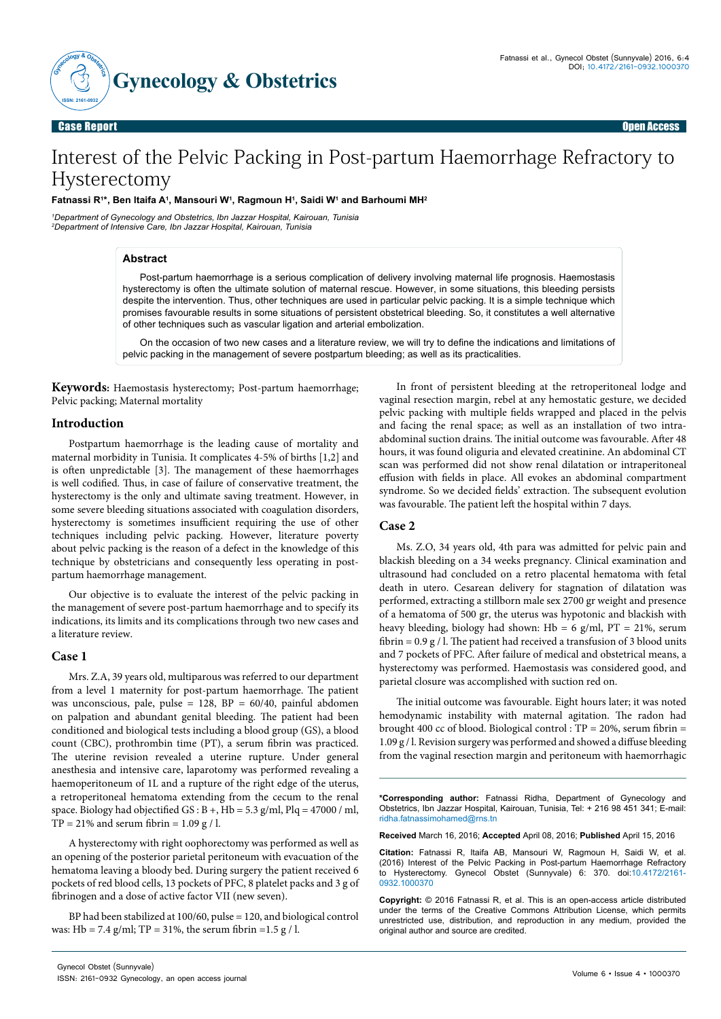

Case Report Open Access

# Interest of the Pelvic Packing in Post-partum Haemorrhage Refractory to Hysterectomy

# **Fatnassi R1 \*, Ben ltaifa A1 , Mansouri W1 , Ragmoun H1 , Saidi W1 and Barhoumi MH2**

*1 Department of Gynecology and Obstetrics, Ibn Jazzar Hospital, Kairouan, Tunisia 2 Department of Intensive Care, Ibn Jazzar Hospital, Kairouan, Tunisia*

# **Abstract**

Post-partum haemorrhage is a serious complication of delivery involving maternal life prognosis. Haemostasis hysterectomy is often the ultimate solution of maternal rescue. However, in some situations, this bleeding persists despite the intervention. Thus, other techniques are used in particular pelvic packing. It is a simple technique which promises favourable results in some situations of persistent obstetrical bleeding. So, it constitutes a well alternative of other techniques such as vascular ligation and arterial embolization.

On the occasion of two new cases and a literature review, we will try to define the indications and limitations of pelvic packing in the management of severe postpartum bleeding; as well as its practicalities.

**Keywords:** Haemostasis hysterectomy; Post-partum haemorrhage; Pelvic packing; Maternal mortality

## **Introduction**

Postpartum haemorrhage is the leading cause of mortality and maternal morbidity in Tunisia. It complicates 4-5% of births [1,2] and is often unpredictable [3]. The management of these haemorrhages is well codified. Thus, in case of failure of conservative treatment, the hysterectomy is the only and ultimate saving treatment. However, in some severe bleeding situations associated with coagulation disorders, hysterectomy is sometimes insufficient requiring the use of other techniques including pelvic packing. However, literature poverty about pelvic packing is the reason of a defect in the knowledge of this technique by obstetricians and consequently less operating in postpartum haemorrhage management.

Our objective is to evaluate the interest of the pelvic packing in the management of severe post-partum haemorrhage and to specify its indications, its limits and its complications through two new cases and a literature review.

# **Case 1**

Mrs. Z.A, 39 years old, multiparous was referred to our department from a level 1 maternity for post-partum haemorrhage. The patient was unconscious, pale, pulse =  $128$ ,  $BP = 60/40$ , painful abdomen on palpation and abundant genital bleeding. The patient had been conditioned and biological tests including a blood group (GS), a blood count (CBC), prothrombin time (PT), a serum fibrin was practiced. The uterine revision revealed a uterine rupture. Under general anesthesia and intensive care, laparotomy was performed revealing a haemoperitoneum of 1L and a rupture of the right edge of the uterus, a retroperitoneal hematoma extending from the cecum to the renal space. Biology had objectified  $GS : B +$ ,  $Hb = 5.3$  g/ml,  $Plq = 47000 / ml$ ,  $TP = 21\%$  and serum fibrin = 1.09 g / l.

A hysterectomy with right oophorectomy was performed as well as an opening of the posterior parietal peritoneum with evacuation of the hematoma leaving a bloody bed. During surgery the patient received 6 pockets of red blood cells, 13 pockets of PFC, 8 platelet packs and 3 g of fibrinogen and a dose of active factor VII (new seven).

BP had been stabilized at 100/60, pulse = 120, and biological control was: Hb = 7.4 g/ml; TP = 31%, the serum fibrin = 1.5 g / l.

In front of persistent bleeding at the retroperitoneal lodge and vaginal resection margin, rebel at any hemostatic gesture, we decided pelvic packing with multiple fields wrapped and placed in the pelvis and facing the renal space; as well as an installation of two intraabdominal suction drains. The initial outcome was favourable. After 48 hours, it was found oliguria and elevated creatinine. An abdominal CT scan was performed did not show renal dilatation or intraperitoneal effusion with fields in place. All evokes an abdominal compartment syndrome. So we decided fields' extraction. The subsequent evolution was favourable. The patient left the hospital within 7 days.

# **Case 2**

Ms. Z.O, 34 years old, 4th para was admitted for pelvic pain and blackish bleeding on a 34 weeks pregnancy. Clinical examination and ultrasound had concluded on a retro placental hematoma with fetal death in utero. Cesarean delivery for stagnation of dilatation was performed, extracting a stillborn male sex 2700 gr weight and presence of a hematoma of 500 gr, the uterus was hypotonic and blackish with heavy bleeding, biology had shown: Hb = 6 g/ml,  $PT = 21\%$ , serum fibrin =  $0.9 g / l$ . The patient had received a transfusion of 3 blood units and 7 pockets of PFC. After failure of medical and obstetrical means, a hysterectomy was performed. Haemostasis was considered good, and parietal closure was accomplished with suction red on.

The initial outcome was favourable. Eight hours later; it was noted hemodynamic instability with maternal agitation. The radon had brought 400 cc of blood. Biological control : TP = 20%, serum fibrin = 1.09 g / l. Revision surgery was performed and showed a diffuse bleeding from the vaginal resection margin and peritoneum with haemorrhagic

**\*Corresponding author:** Fatnassi Ridha, Department of Gynecology and Obstetrics, Ibn Jazzar Hospital, Kairouan, Tunisia, Tel: + 216 98 451 341; E-mail: ridha.fatnassimohamed@rns.tn

**Received** March 16, 2016; **Accepted** April 08, 2016; **Published** April 15, 2016

**Citation:** Fatnassi R, ltaifa AB, Mansouri W, Ragmoun H, Saidi W, et al. (2016) Interest of the Pelvic Packing in Post-partum Haemorrhage Refractory to Hysterectomy. Gynecol Obstet (Sunnyvale) 6: 370. doi:10.4172/2161- 0932.1000370

**Copyright:** © 2016 Fatnassi R, et al. This is an open-access article distributed under the terms of the Creative Commons Attribution License, which permits unrestricted use, distribution, and reproduction in any medium, provided the original author and source are credited.